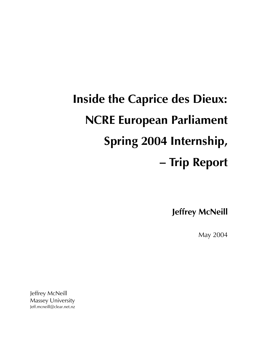# **Inside the Caprice des Dieux: NCRE European Parliament** Spring 2004 Internship, - Trip Report

**Jeffrey McNeill** 

May 2004

Jeffrey McNeill **Massey University** Jeff.mcneill@clear.net.nz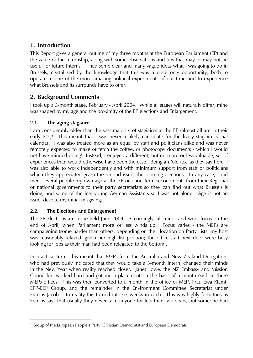### 1. Introduction

This Report gives a general outline of my three months at the European Parliament (EP) and the value of the Internship, along with some observations and tips that may or may not be useful for future Interns. I had some clear and many vague ideas what I was going to do in Brussels, crystallised by the knowledge that this was a once only opportunity, both to operate in one of the more amazing political experiments of our time and to experience what Brussels and its surrounds have to offer.

## 2. Background Comments

I took up a 3-month stage, February - April 2004. While all stages will naturally differ, mine was shaped by my age and the proximity of the EP elections and Enlargement.

#### $2.1.$ The aging stagiaire

I am considerably older than the vast majority of stagiaires at the EP (almost all are in their early 20s)! This meant that I was never a likely candidate for the lively stagiaire social calendar. I was also treated more as an equal by staff and politicians alike and was never remotely expected to make or fetch the coffee, or photocopy documents - which I would not have minded doing! Instead, I enjoyed a different, but no more or less valuable, set of experiences than would otherwise have been the case. Being an "old fox" as they say here, I was also able to work independently and with minimum support from staff or politicians which they appreciated given the second issue, the looming elections. In any case, I did meet several people my own age at the EP on short-term secondments from their Regional or national governments to their party secretariats so they can find out what Brussels is doing, and some of the less young German Assistants so I was not alone. Age is not an issue, despite my initial misgivings.

#### $2.2.$ The Elections and Enlargement

The EP Elections are to be held June 2004. Accordingly, all minds and work focus on the end of April, when Parliament more or less winds up. Focus varies - the MEPs are campaigning (some harder than others, depending on their location on Party Lists: my host was reasonably relaxed, given her high list position; the office staff next door were busy looking for jobs as their man had been relegated to the bottom).

In practical terms this meant that MEPs from the Australia and New Zealand Delegation, who had previously indicated that they would take a 3-month intern, changed their minds in the New Year when reality reached closer. Janet Lowe, the NZ Embassy and Mission Councillor, worked hard and got me a placement on the basis of a month each in three MEPs offices. This was then converted to a month in the office of MEP, Frau Ewa Klamt, EPP-ED<sup>1</sup> Group, and the remainder in the Environment Committee Secretariat under Francis Jacobs. In reality this turned into six weeks in each. This was highly fortuitous as Francis says that usually they never take anyone for less than two years, but someone had

<sup>&</sup>lt;sup>1</sup> Group of the European People's Party (Christian Democrats) and European Democrats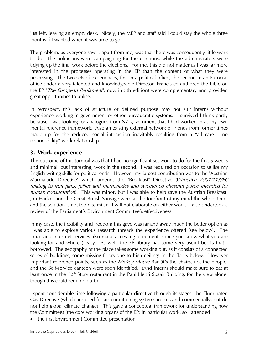just left, leaving an empty desk. Nicely, the MEP and staff said I could stay the whole three months if I wanted when it was time to go!

The problem, as everyone saw it apart from me, was that there was consequently little work to do - the politicians were campaigning for the elections, while the administrators were tidying up the final work before the elections. For me, this did not matter as I was far more interested in the processes operating in the EP than the content of what they were processing. The two sets of experiences, first in a political office, the second in an Eurocrat office under a very talented and knowledgeable Director (Francis co-authored the bible on the EP "The European Parliament", now in 5th edition) were complementary and provided great opportunities to utilise.

In retrospect, this lack of structure or defined purpose may not suit interns without experience working in government or other bureaucratic systems. I survived I think partly because I was looking for analogues from NZ government that I had worked in as my own mental reference framework. Also an existing external network of friends from former times made up for the reduced social interaction inevitably resulting from a "all care - no responsibility" work relationship.

#### 3. Work experience

The outcome of this turmoil was that I had no significant set work to do for the first 6 weeks and minimal, but interesting, work in the second. I was required on occasion to utilise my English writing skills for political ends. However my largest contribution was to the "Austrian Marmalade Directive" which amends the "Breakfast" Directive (Directive 2001/113/EC relating to fruit jams, jellies and marmalades and sweetened chestnut puree intended for human consumption). This was minor, but I was able to help save the Austrian Breakfast. Jim Hacker and the Great British Sausage were at the forefront of my mind the whole time, and the solution is not too dissimilar. I will not elaborate on either work. I also undertook a review of the Parliament's Environment Committee's effectiveness.

In my case, the flexibility and freedom this gave was far and away much the better option as I was able to explore various research threads the experience offered (see below). The Intra- and Inter-net services also make accessing documents (once you know what you are looking for and where ) easy. As well, the EP library has some very useful books that I borrowed. The geography of the place takes some working out, as it consists of a connected series of buildings, some missing floors due to high ceilings in the floors below. However important reference points, such as the Mickey Mouse Bar (it's the chairs, not the people) and the Self-service canteen were soon identified. (And Interns should make sure to eat at least once in the 12<sup>th</sup> Story restaurant in the Paul Henri Spaak Building, for the view alone, though this could require bluff.)

I spent considerable time following a particular directive through its stages: the Fluorinated Gas Directive (which are used for air-conditioning systems in cars and commercially, but do not help global climate change). This gave a conceptual framework for understanding how the Committees (the core working organs of the EP) in particular work, so I attended

the first Environment Committee presentation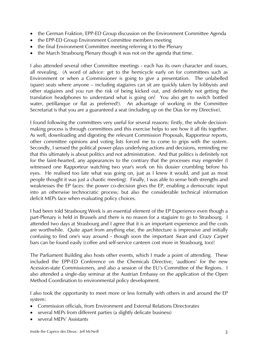- the German Fraktion, EPP-ED Group discussion on the Environment Committee Agenda
- the EPP-ED Group Environment Committee members meeting
- the final Environment Committee meeting referring it to the Plenary
- the March Strasbourg Plenary though it was not on the agenda that time.

I also attended several other Committee meetings - each has its own character and issues, all revealing. (A word of advice: get to the hemicycle early on for committees such as Environment or when a Commissioner is going to give a presentation. The unlabelled (spare) seats where anyone – including stagiaires can sit are quickly taken by lobbyists and other stagiaires and you run the risk of being kicked out, and definitely not getting the translation headphones to understand what is going on! You also get to switch bottled water, petillanque or flat as preferred!). An advantage of working in the Committee Secretariat is that you are a guaranteed a seat (including up on the Dias for my Directive).

I found following the committees very useful for several reasons: firstly, the whole decisionmaking process is through committees and this exercise helps to see how it all fits together. As well, downloading and digesting the relevant Commission Proposals, Rapporteur reports, other committee opinions and voting lists forced me to come to grips with the system. Secondly, I sensed the political power-plays underlying actions and decisions, reminding me that this ultimately is about politics and not administration. And that politics is definitely not for the faint-hearted, any appearances to the contrary that the processes may engender (I witnessed one Rapporteur watching two year's work on his dossier crumbling before his eyes. He realised too late what was going on, just as I knew it would, and just as most people thought it was just a chaotic meeting). Finally, I was able to sense both strengths and weaknesses the EP faces: the power co-decision gives the EP, enabling a democratic input into an otherwise technocratic process; but also the considerable technical information deficit MEPs face when evaluating policy choices.

I had been told Strasbourg Week is an essential element of the EP Experience even though a part-Plenary is held in Brussels and there is no reason for a stagiaire to go to Strasbourg. I attended two days at Strasbourg and I agree that it is an important experience and the costs are worthwhile. Quite apart from anything else, the architecture is impressive and initially confusing to find one's way around - though soon the important Swan and Crazy Carpet bars can be found easily (coffee and self-service canteen cost more in Strasbourg, too)!

The Parliament Building also hosts other events, which I made a point of attending. These included the EPP-ED Conference on the Chemicals Directive, 'audtions' for the new Acession-state Commissioners, and also a session of the EU's Committee of the Regions. I also attended a single-day seminar at the Austrian Embassy on the application of the Open Method Coordination to environmental policy development.

I also took the opportunity to meet more or less formally with others in and around the EP system:

- Commission officials, from Environment and External Relations Directorates
- several MEPs from different parties (a slightly delicate business)
- several MEPs' Assistants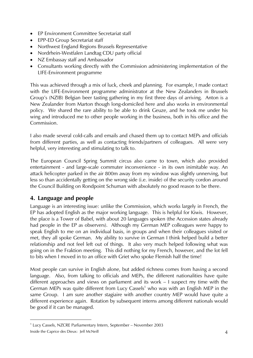- EP Environment Committee Secretariat staff
- EPP-ED Group Secretariat staff
- Northwest England Regions Brussels Representative
- Nordrhein-Westfalen Landtag CDU party official
- NZ Embassay staff and Ambassador
- Consultants working directly with the Commission administering implementation of the LIFE-Environment programme

This was achieved through a mix of luck, cheek and planning. For example, I made contact with the LIFE-Environment programme administrator at the New Zealanders in Brussels Group's (NZIB) Belgian beer tasting gathering in my first three days of arriving. Anton is a New Zealander from Marton though long-domiciled here and also works in environmental policy. We shared the rare ability to be able to drink Geuze, and he took me under his wing and introduced me to other people working in the business, both in his office and the Commission.

I also made several cold-calls and emails and chased them up to contact MEPs and officials from different parties, as well as contacting friends/partners of colleagues. All were very helpful, very interesting and stimulating to talk to.

The European Council Spring Summit circus also came to town, which also provided entertainment - and large-scale commuter inconvenience - in its own inimitable way. An attack helicopter parked in the air 800m away from my window was slightly unnerving, but less so than accidentally getting on the wrong side (i.e. inside) of the security cordon around the Council Building on Rondpoint Schuman with absolutely no good reason to be there.

#### 4. Language and people

Language is an interesting issue: unlike the Commission, which works largely in French, the EP has adopted English as the major working language. This is helpful for Kiwis. However, the place is a Tower of Babel, with about 20 languages spoken (the Accession states already had people in the EP as observers). Although my German MEP colleagues were happy to speak English to me on an individual basis, in groups and when their colleagues visited or met, they all spoke German. My ability to survive in German I think helped build a better relationship and not feel left out of things. It also very much helped following what was going on in the Fraktion meeting. This did nothing for my French, however, and the lot fell to bits when I moved in to an office with Griet who spoke Flemish half the time!

Most people can survive in English alone, but added richness comes from having a second language. Also, from talking to officials and MEPs, the different nationalities have quite different approaches and views on parliament and its work – I suspect my time with the German MEPs was quite different from Lucy Cassels<sup>1</sup> who was with an English MEP in the same Group. I am sure another stagiaire with another country MEP would have quite a different experience again. Rotation by subsequent interns among different nationals would be good if it can be managed.

<sup>&</sup>lt;sup>1</sup> Lucy Cassels, NZCRE Parliamentary Intern, September - November 2003 Inside the Caprice des Dieux: Jeff McNeill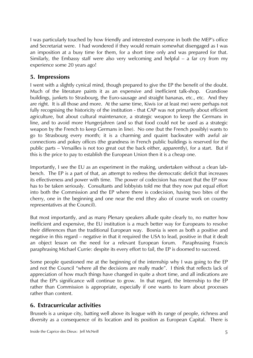I was particularly touched by how friendly and interested everyone in both the MEP's office and Secretariat were. I had wondered if they would remain somewhat disengaged as I was an imposition at a busy time for them, for a short time only and was prepared for that. Similarly, the Embassy staff were also very welcoming and helpful – a far cry from my experience some 20 years ago!

#### 5. Impressions

I went with a slightly cynical mind, though prepared to give the EP the benefit of the doubt. Much of the literature paints it as an expensive and inefficient talk-shop. Grandiose buildings, junkets to Strasbourg, the Euro-sausage and straight bananas, etc., etc. And they are right. It is all those and more. At the same time, Kiwis (or at least me) were perhaps not fully recognising the historicity of the institution - that CAP was not primarily about efficient agriculture, but about cultural maintenance, a strategic weapon to keep the Germans in line, and to avoid more Hungerjahren (and so that food could not be used as a strategic weapon by the French to keep Germans in line). No one (but the French possibly) wants to go to Strasbourg every month; it is a charming and quaint backwater with awful air connections and pokey offices (the grandness in French public buildings is reserved for the public parts – Versailles is not too great out the back either, apparently), for a start. But if this is the price to pay to establish the European Union then it is a cheap one.

Importantly, I see the EU as an experiment in the making, undertaken without a clean labbench. The EP is a part of that, an attempt to redress the democratic deficit that increases its effectiveness and power with time. The power of codecision has meant that the EP now has to be taken seriously. Consultants and lobbyists told me that they now put equal effort into both the Commission and the EP where there is codecision, having two bites of the cherry, one in the beginning and one near the end (they also of course work on country representatives at the Council).

But most importantly, and as many Plenary speakers allude quite clearly to, no matter how inefficient and expensive, the EU institution is a much better way for Europeans to resolve their differences than the traditional European way. Bosnia is seen as both a positive and negative in this regard – negative in that it required the USA to lead, positive in that it dealt an object lesson on the need for a relevant European forum. Paraphrasing Francis paraphrasing Michael Currie: despite its every effort to fail, the EP is doomed to succeed.

Some people questioned me at the beginning of the internship why I was going to the EP and not the Council "where all the decisions are really made". I think that reflects lack of appreciation of how much things have changed in quite a short time, and all indications are that the EP's significance will continue to grow. In that regard, the Internship to the EP rather than Commission is appropriate, especially if one wants to learn about processes rather than content.

#### 6. Extracurricular activities

Brussels is a unique city, batting well above its league with its range of people, richness and diversity as a consequence of its location and its position as European Capital. There is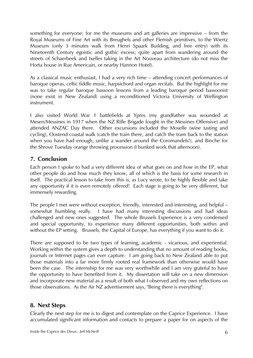something for everyone; for me the museums and art galleries are impressive – from the Royal Museums of Fine Art with its Breughels and other Flemish primitives, to the Wiertz Museum (only 3 minutes walk from Henri Spaark Building, and free entry) with its Nineteenth Century egoistic and gothic excess; quite apart from wandering around the streets of Schaerbeek and Ixelles taking in the Art Nouveau architecture (do not miss the Horta house in Rue Americain, or nearby Hannon Hotel).

As a classical music enthusiast, I had a very rich time – attending concert performances of baroque operas, celtic fiddle music, harpsichord and organ recitals. But the highlight for me was to take regular baroque bassoon lessons from a leading baroque period bassoonist (none exist in New Zealand) using a reconditioned Victoria University of Wellington instrument.

I also visited World War 1 battlefields at Ypres (my grandfather was wounded at Mesen/Messines in 1917 when the NZ Rifle Brigade fought in the Messines Offensive) and attended ANZAC Day there. Other excursions included the Moselle (wine tasting and cycling), Oostend coastal walk (catch the train there, and catch the tram back to the station when you have had enough, unlike a wander around the Coromandels!), and Binche for the Shrove Tuesday orange throwing procession (I bunked work that afternoon).

#### 7. Conclusion

Each person I spoke to had a very different idea of what goes on and how in the EP, what other people do and how much they know, all of which is the basis for some research in itself. The practical lesson to take from this is, as Lucy wrote, to be highly flexible and take any opportunity if it is even remotely offered! Each stage is going to be very different, but immensely rewarding.

The people I met were without exception, friendly, interested and interesting, and helpful – somewhat humbling really. I have had many interesting discussions and had ideas challenged and new ones suggested. The whole Brussels Experience is a very condensed and special opportunity, to experience many different opportunities, both within and without the EP setting. Brussels, the Capital of Europe, has everything if you want to do it.

There are supposed to be two types of learning, academic - vicarious, and experiential. Working within the system gives a depth to understanding that no amount of reading books, journals or Internet pages can ever capture. I am going back to New Zealand able to put those materials into a far more firmly rooted real framework than otherwise would have been the case. The internship for me was very worthwhile and I am very grateful to have the opportunity to have benefited from it. My dissertation will take on a new dimension and incorporate new material as a result of both what I observed and my own reflections on those observations. As the Air NZ advertisement says, "Being there is everything".

#### 8. Next Steps

Clearly the next step for me is to digest and contemplate on the Caprice Experience. I have accumulated significant information and contacts to prepare a paper for on aspects of the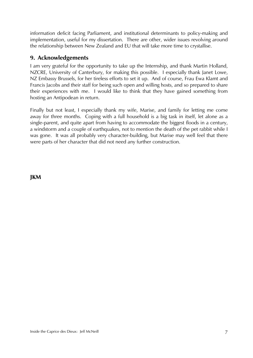information deficit facing Parliament, and institutional determinants to policy-making and implementation, useful for my dissertation. There are other, wider issues revolving around the relationship between New Zealand and EU that will take more time to crystallise.

#### 9. Acknowledgements

I am very grateful for the opportunity to take up the Internship, and thank Martin Holland, NZCRE, University of Canterbury, for making this possible. I especially thank Janet Lowe, NZ Embassy Brussels, for her tireless efforts to set it up. And of course, Frau Ewa Klamt and Francis Jacobs and their staff for being such open and willing hosts, and so prepared to share their experiences with me. I would like to think that they have gained something from hosting an Antipodean in return.

Finally but not least, I especially thank my wife, Marise, and family for letting me come away for three months. Coping with a full household is a big task in itself, let alone as a single-parent, and quite apart from having to accommodate the biggest floods in a century, a windstorm and a couple of earthquakes, not to mention the death of the pet rabbit while I was gone. It was all probably very character-building, but Marise may well feel that there were parts of her character that did not need any further construction.

**JKM**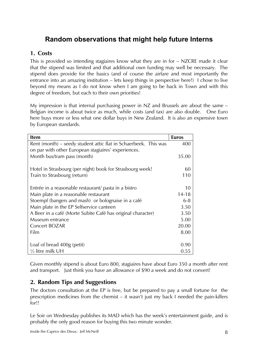## Random observations that might help future Interns

#### 1. Costs

This is provided so intending stagiaires know what they are in for – NZCRE made it clear that the stipend was limited and that additional own funding may well be necessary. The stipend does provide for the basics (and of course the airfare and most importantly the entrance into an amazing institution – lets keep things in perspective here!) I chose to live beyond my means as I do not know when I am going to be back in Town and with this degree of freedom, but each to their own priorities!

My impression is that internal purchasing power in NZ and Brussels are about the same – Belgian income is about twice as much, while costs (and tax) are also double. One Euro here buys more or less what one dollar buys in New Zealand. It is also an expensive town by European standards.

| <b>Item</b>                                                     | <b>Euros</b> |
|-----------------------------------------------------------------|--------------|
| Rent (month) – seedy student attic flat in Schaerbeek. This was | 400          |
| on par with other European stagiaires' experiences.             |              |
| Month bus/tram pass (month)                                     | 35.00        |
|                                                                 |              |
| Hotel in Strasbourg (per night) book for Strasbourg week!       | 60           |
| Train to Strasbourg (return)                                    | 110          |
|                                                                 |              |
| Entrée in a reasonable restaurant/ pasta in a bistro            | 10           |
| Main plate in a reasonable restaurant                           | $14 - 18$    |
| Stoempf (bangers and mash) or bolognaise in a café              | $6 - 8$      |
| Main plate in the EP Selfservice canteen                        | 3.50         |
| A Beer in a café (Morte Subite Café has original character)     | 3.50         |
| Museum entrance                                                 | 5.00         |
| <b>Concert BOZAR</b>                                            | 20.00        |
| Film                                                            | 8.00         |
|                                                                 |              |
| Loaf of bread 400g (petit)                                      | 0.90         |
| $\frac{1}{2}$ litre milk UH                                     | 0.55         |

Given monthly stipend is about Euro 800, stagiaires have about Euro 350 a month after rent and transport. Just think you have an allowance of \$90 a week and do not convert!

#### 2. Random Tips and Suggestions

The doctors consultation at the EP is free, but be prepared to pay a small fortune for the prescription medicines from the chemist – it wasn't just my back I needed the pain-killers for!!

Le Soir on Wednesday publishes its MAD which has the week's entertainment guide, and is probably the only good reason for buying this two minute wonder.